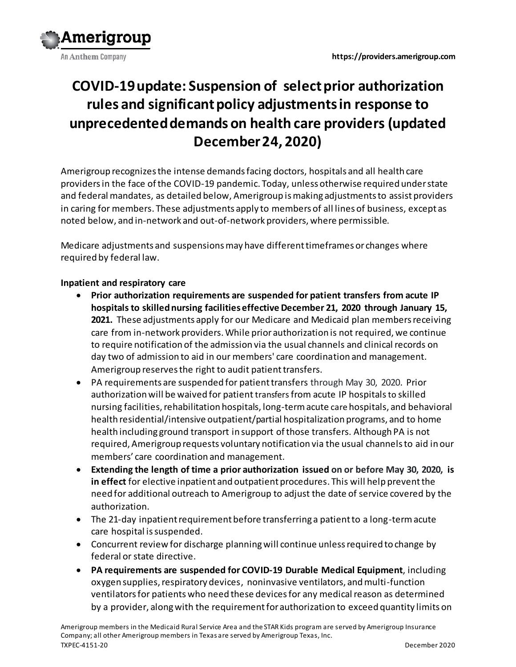



# **COVID-19 update: Suspension of select prior authorization rules and significant policy adjustments in response to unprecedented demands on health care providers (updated December 24, 2020)**

Amerigroup recognizes the intense demands facing doctors, hospitals and all health care providers in the face of the COVID-19 pandemic. Today, unless otherwise required under state and federal mandates, as detailed below, Amerigroup is making adjustments to assist providers in caring for members. These adjustments apply to members of all lines of business, except as noted below, and in-network and out-of-network providers, where permissible.

Medicare adjustments and suspensions may have different timeframes or changes where required by federal law.

# **Inpatient and respiratory care**

- **Prior authorization requirements are suspended for patient transfers from acute IP hospitals to skilled nursing facilities effective December 21, 2020 through January 15, 2021.** These adjustments apply for our Medicare and Medicaid plan members receiving care from in-network providers. While prior authorization is not required, we continue to require notification of the admission via the usual channels and clinical records on day two of admission to aid in our members' care coordination and management. Amerigroup reserves the right to audit patient transfers.
- PA requirements are suspended for patient transfers through May 30, 2020. Prior authorization will be waived for patient transfers from acute IP hospitals to skilled nursing facilities, rehabilitation hospitals, long-term acute care hospitals, and behavioral health residential/intensive outpatient/partial hospitalization programs, and to home health including ground transport in support of those transfers. Although PA is not required, Amerigroup requests voluntary notification via the usual channels to aid in our members' care coordination and management.
- **Extending the length of time a prior authorization issued on or before May 30, 2020, is in effect** for elective inpatient and outpatient procedures. This will help prevent the need for additional outreach to Amerigroup to adjust the date of service covered by the authorization.
- The 21-day inpatient requirement before transferring a patient to a long-term acute care hospital is suspended.
- Concurrent review for discharge planning will continue unless required to change by federal or state directive.
- **PA requirements are suspended for COVID-19 Durable Medical Equipment**, including oxygen supplies, respiratory devices, noninvasive ventilators, and multi-function ventilatorsfor patients who need these devices for any medical reason as determined by a provider, along with the requirement for authorization to exceed quantity limits on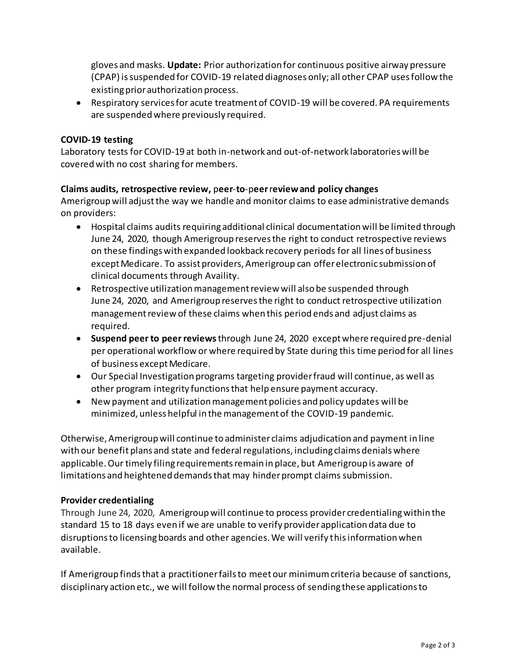gloves and masks. **Update:** Prior authorization for continuous positive airway pressure (CPAP) is suspended for COVID-19 related diagnoses only; all other CPAP uses follow the existing prior authorization process.

 Respiratory services for acute treatment of COVID-19 will be covered. PA requirements are suspended where previously required.

### **COVID-19 testing**

Laboratory tests for COVID-19 at both in-network and out-of-network laboratories will be covered with no cost sharing for members.

#### **Claims audits, retrospective review,** p**eer**-**to**-p**eer** r**eviewand policy changes**

Amerigroup will adjust the way we handle and monitor claims to ease administrative demands on providers:

- Hospital claims audits requiring additional clinical documentation will be limited through June 24, 2020, though Amerigroup reserves the right to conduct retrospective reviews on these findings with expanded lookback recovery periods for all lines of business except Medicare. To assist providers, Amerigroup can offer electronic submission of clinical documents through Availity.
- Retrospective utilization management review will also be suspended through June 24, 2020, and Amerigroup reserves the right to conduct retrospective utilization management review of these claims when this period ends and adjust claims as required.
- **Suspend peer to peer reviews**through June 24, 2020 except where required pre-denial per operational workflow or where required by State during this time period for all lines of business except Medicare.
- Our Special Investigation programs targeting provider fraud will continue, as well as other program integrity functions that help ensure payment accuracy.
- New payment and utilization management policies and policy updates will be minimized, unless helpful in the management of the COVID-19 pandemic.

Otherwise, Amerigroup will continue to administer claims adjudication and payment in line with our benefit plans and state and federal regulations, including claims denials where applicable. Our timely filing requirements remain in place, but Amerigroup is aware of limitations and heightened demands that may hinder prompt claims submission.

#### **Provider credentialing**

Through June 24, 2020, Amerigroup will continue to process provider credentialing within the standard 15 to 18 days even if we are unable to verify provider application data due to disruptions to licensing boards and other agencies. We will verify this information when available.

If Amerigroup finds that a practitioner fails to meet our minimum criteria because of sanctions, disciplinary action etc., we will follow the normal process of sending these applications to